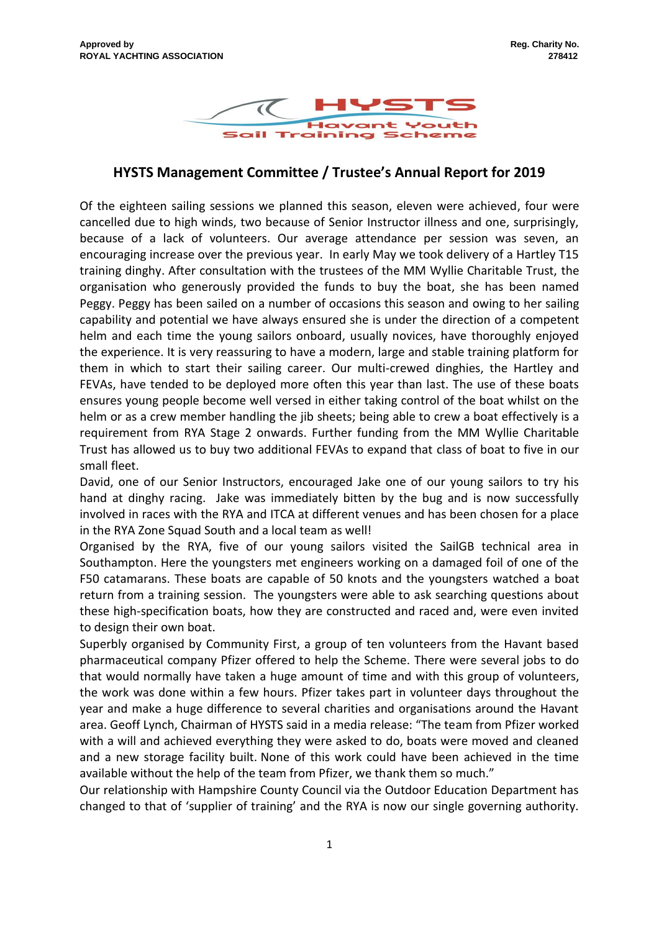

## **HYSTS Management Committee / Trustee's Annual Report for 2019**

Of the eighteen sailing sessions we planned this season, eleven were achieved, four were cancelled due to high winds, two because of Senior Instructor illness and one, surprisingly, because of a lack of volunteers. Our average attendance per session was seven, an encouraging increase over the previous year. In early May we took delivery of a Hartley T15 training dinghy. After consultation with the trustees of the MM Wyllie Charitable Trust, the organisation who generously provided the funds to buy the boat, she has been named Peggy. Peggy has been sailed on a number of occasions this season and owing to her sailing capability and potential we have always ensured she is under the direction of a competent helm and each time the young sailors onboard, usually novices, have thoroughly enjoyed the experience. It is very reassuring to have a modern, large and stable training platform for them in which to start their sailing career. Our multi-crewed dinghies, the Hartley and FEVAs, have tended to be deployed more often this year than last. The use of these boats ensures young people become well versed in either taking control of the boat whilst on the helm or as a crew member handling the jib sheets; being able to crew a boat effectively is a requirement from RYA Stage 2 onwards. Further funding from the MM Wyllie Charitable Trust has allowed us to buy two additional FEVAs to expand that class of boat to five in our small fleet.

David, one of our Senior Instructors, encouraged Jake one of our young sailors to try his hand at dinghy racing. Jake was immediately bitten by the bug and is now successfully involved in races with the RYA and ITCA at different venues and has been chosen for a place in the RYA Zone Squad South and a local team as well!

Organised by the RYA, five of our young sailors visited the SailGB technical area in Southampton. Here the youngsters met engineers working on a damaged foil of one of the F50 catamarans. These boats are capable of 50 knots and the youngsters watched a boat return from a training session. The youngsters were able to ask searching questions about these high-specification boats, how they are constructed and raced and, were even invited to design their own boat.

Superbly organised by Community First, a group of ten volunteers from the Havant based pharmaceutical company Pfizer offered to help the Scheme. There were several jobs to do that would normally have taken a huge amount of time and with this group of volunteers, the work was done within a few hours. Pfizer takes part in volunteer days throughout the year and make a huge difference to several charities and organisations around the Havant area. Geoff Lynch, Chairman of HYSTS said in a media release: "The team from Pfizer worked with a will and achieved everything they were asked to do, boats were moved and cleaned and a new storage facility built. None of this work could have been achieved in the time available without the help of the team from Pfizer, we thank them so much."

Our relationship with Hampshire County Council via the Outdoor Education Department has changed to that of 'supplier of training' and the RYA is now our single governing authority.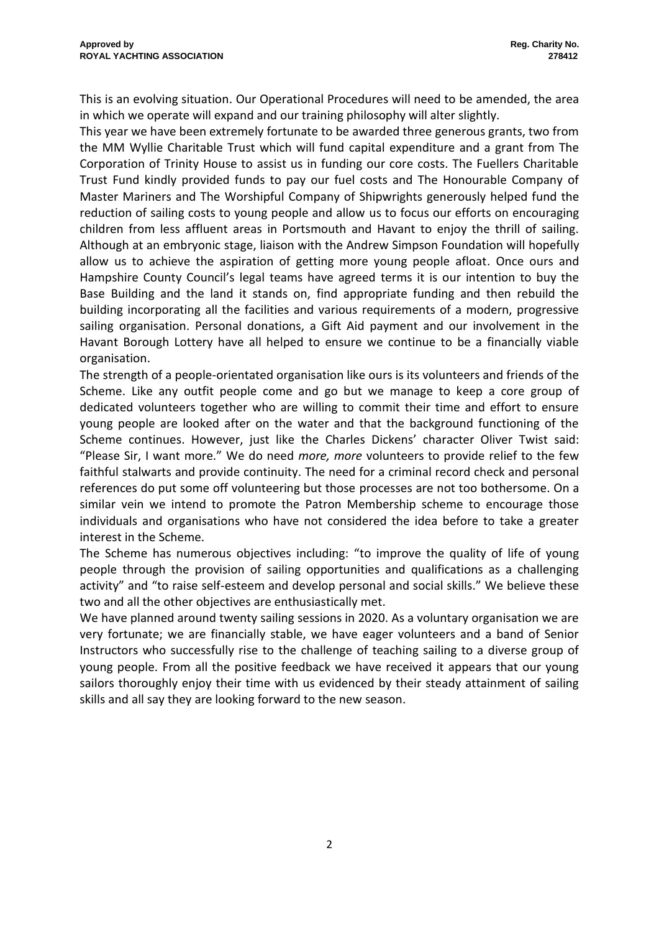This is an evolving situation. Our Operational Procedures will need to be amended, the area in which we operate will expand and our training philosophy will alter slightly.

This year we have been extremely fortunate to be awarded three generous grants, two from the MM Wyllie Charitable Trust which will fund capital expenditure and a grant from The Corporation of Trinity House to assist us in funding our core costs. The Fuellers Charitable Trust Fund kindly provided funds to pay our fuel costs and The Honourable Company of Master Mariners and The Worshipful Company of Shipwrights generously helped fund the reduction of sailing costs to young people and allow us to focus our efforts on encouraging children from less affluent areas in Portsmouth and Havant to enjoy the thrill of sailing. Although at an embryonic stage, liaison with the Andrew Simpson Foundation will hopefully allow us to achieve the aspiration of getting more young people afloat. Once ours and Hampshire County Council's legal teams have agreed terms it is our intention to buy the Base Building and the land it stands on, find appropriate funding and then rebuild the building incorporating all the facilities and various requirements of a modern, progressive sailing organisation. Personal donations, a Gift Aid payment and our involvement in the Havant Borough Lottery have all helped to ensure we continue to be a financially viable organisation.

The strength of a people-orientated organisation like ours is its volunteers and friends of the Scheme. Like any outfit people come and go but we manage to keep a core group of dedicated volunteers together who are willing to commit their time and effort to ensure young people are looked after on the water and that the background functioning of the Scheme continues. However, just like the Charles Dickens' character Oliver Twist said: "Please Sir, I want more." We do need *more, more* volunteers to provide relief to the few faithful stalwarts and provide continuity. The need for a criminal record check and personal references do put some off volunteering but those processes are not too bothersome. On a similar vein we intend to promote the Patron Membership scheme to encourage those individuals and organisations who have not considered the idea before to take a greater interest in the Scheme.

The Scheme has numerous objectives including: "to improve the quality of life of young people through the provision of sailing opportunities and qualifications as a challenging activity" and "to raise self-esteem and develop personal and social skills." We believe these two and all the other objectives are enthusiastically met.

We have planned around twenty sailing sessions in 2020. As a voluntary organisation we are very fortunate; we are financially stable, we have eager volunteers and a band of Senior Instructors who successfully rise to the challenge of teaching sailing to a diverse group of young people. From all the positive feedback we have received it appears that our young sailors thoroughly enjoy their time with us evidenced by their steady attainment of sailing skills and all say they are looking forward to the new season.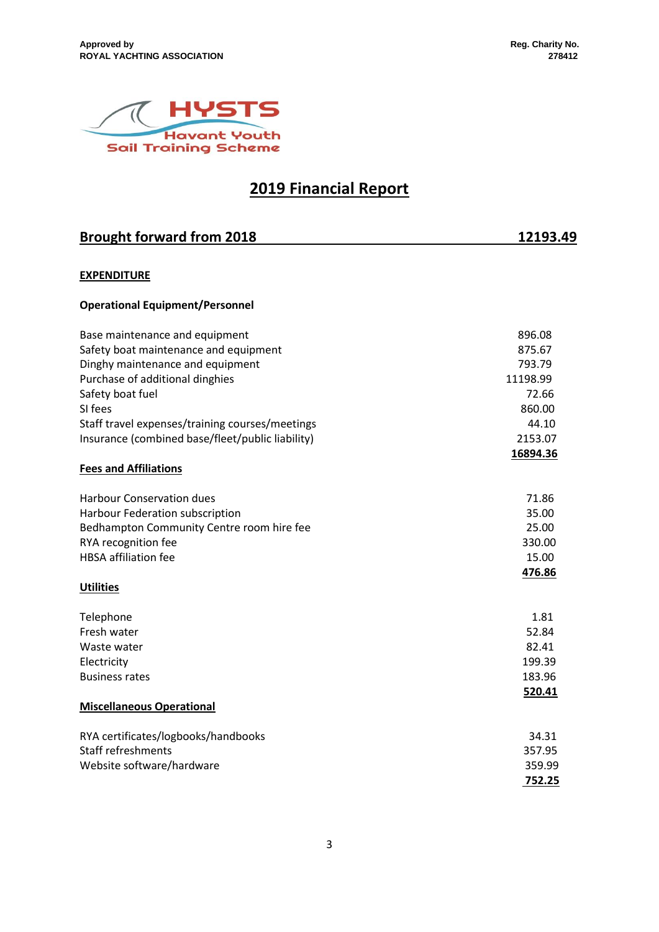

# **2019 Financial Report**

| <b>Brought forward from 2018</b>                 | 12193.49 |
|--------------------------------------------------|----------|
|                                                  |          |
| <b>EXPENDITURE</b>                               |          |
| <b>Operational Equipment/Personnel</b>           |          |
| Base maintenance and equipment                   | 896.08   |
| Safety boat maintenance and equipment            | 875.67   |
| Dinghy maintenance and equipment                 | 793.79   |
| Purchase of additional dinghies                  | 11198.99 |
| Safety boat fuel                                 | 72.66    |
| SI fees                                          | 860.00   |
| Staff travel expenses/training courses/meetings  | 44.10    |
| Insurance (combined base/fleet/public liability) | 2153.07  |
|                                                  | 16894.36 |
| <b>Fees and Affiliations</b>                     |          |
| <b>Harbour Conservation dues</b>                 | 71.86    |
| Harbour Federation subscription                  | 35.00    |
| Bedhampton Community Centre room hire fee        | 25.00    |
| RYA recognition fee                              | 330.00   |
| <b>HBSA</b> affiliation fee                      | 15.00    |
|                                                  | 476.86   |
| <b>Utilities</b>                                 |          |
| Telephone                                        | 1.81     |
| Fresh water                                      | 52.84    |
| Waste water                                      | 82.41    |
| Electricity                                      | 199.39   |
| <b>Business rates</b>                            | 183.96   |
|                                                  | 520.41   |
| <b>Miscellaneous Operational</b>                 |          |
| RYA certificates/logbooks/handbooks              | 34.31    |
| <b>Staff refreshments</b>                        | 357.95   |
| Website software/hardware                        | 359.99   |
|                                                  | 752.25   |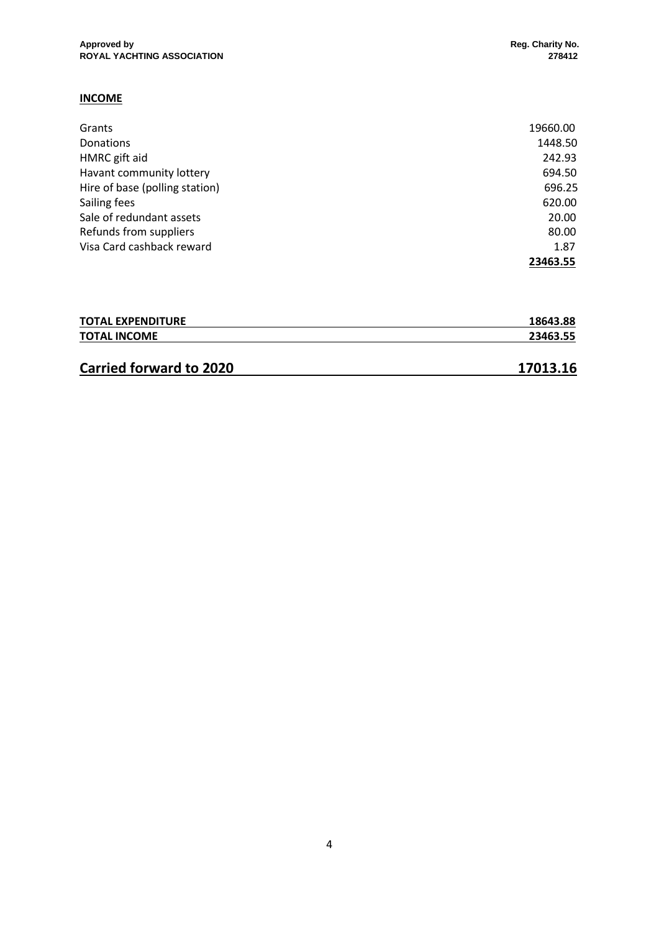### **INCOME**

| Grants                         | 19660.00 |
|--------------------------------|----------|
| Donations                      | 1448.50  |
| HMRC gift aid                  | 242.93   |
| Havant community lottery       | 694.50   |
| Hire of base (polling station) | 696.25   |
| Sailing fees                   | 620.00   |
| Sale of redundant assets       | 20.00    |
| Refunds from suppliers         | 80.00    |
| Visa Card cashback reward      | 1.87     |
|                                | 23463.55 |

| <b>TOTAL EXPENDITURE</b> | 18643.88 |
|--------------------------|----------|
| <b>TOTAL INCOME</b>      | 23463.55 |
|                          |          |

## **Carried forward to 2020 17013.16**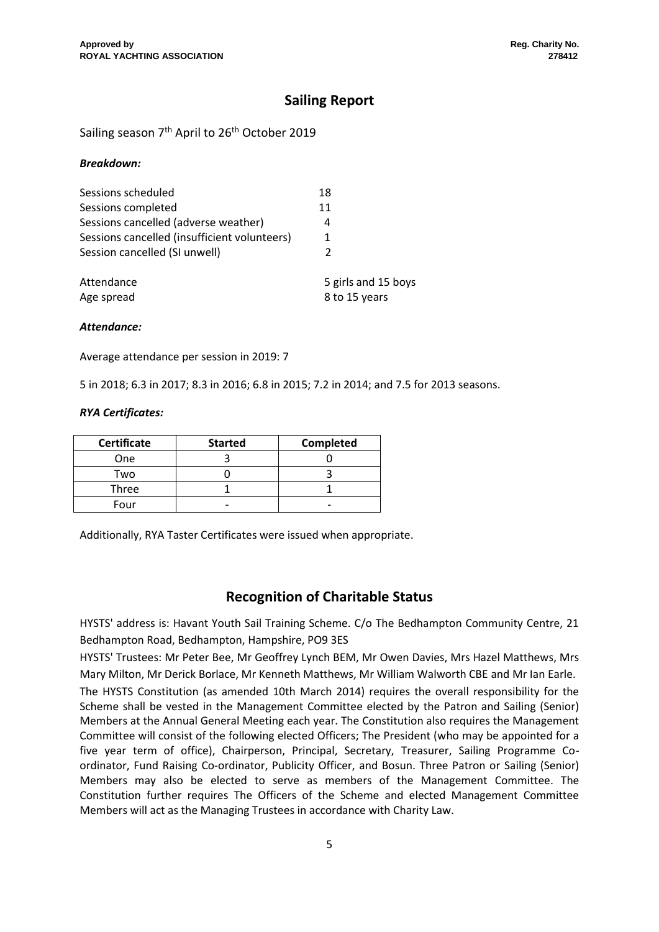## **Sailing Report**

Sailing season 7<sup>th</sup> April to 26<sup>th</sup> October 2019

### *Breakdown:*

| Sessions scheduled                           | 18                  |
|----------------------------------------------|---------------------|
| Sessions completed                           | 11                  |
| Sessions cancelled (adverse weather)         | 4                   |
| Sessions cancelled (insufficient volunteers) |                     |
| Session cancelled (SI unwell)                | $\mathcal{P}$       |
| Attendance                                   | 5 girls and 15 boys |
| Age spread                                   | 8 to 15 years       |

*Attendance:*

Average attendance per session in 2019: 7

5 in 2018; 6.3 in 2017; 8.3 in 2016; 6.8 in 2015; 7.2 in 2014; and 7.5 for 2013 seasons.

### *RYA Certificates:*

| <b>Certificate</b> | <b>Started</b> | Completed |
|--------------------|----------------|-----------|
| <b>One</b>         |                |           |
| Two                |                |           |
| <b>Three</b>       |                |           |
| Four               |                |           |

Additionally, RYA Taster Certificates were issued when appropriate.

### **Recognition of Charitable Status**

HYSTS' address is: Havant Youth Sail Training Scheme. C/o The Bedhampton Community Centre, 21 Bedhampton Road, Bedhampton, Hampshire, PO9 3ES

HYSTS' Trustees: Mr Peter Bee, Mr Geoffrey Lynch BEM, Mr Owen Davies, Mrs Hazel Matthews, Mrs Mary Milton, Mr Derick Borlace, Mr Kenneth Matthews, Mr William Walworth CBE and Mr Ian Earle.

The HYSTS Constitution (as amended 10th March 2014) requires the overall responsibility for the Scheme shall be vested in the Management Committee elected by the Patron and Sailing (Senior) Members at the Annual General Meeting each year. The Constitution also requires the Management Committee will consist of the following elected Officers; The President (who may be appointed for a five year term of office), Chairperson, Principal, Secretary, Treasurer, Sailing Programme Coordinator, Fund Raising Co-ordinator, Publicity Officer, and Bosun. Three Patron or Sailing (Senior) Members may also be elected to serve as members of the Management Committee. The Constitution further requires The Officers of the Scheme and elected Management Committee Members will act as the Managing Trustees in accordance with Charity Law.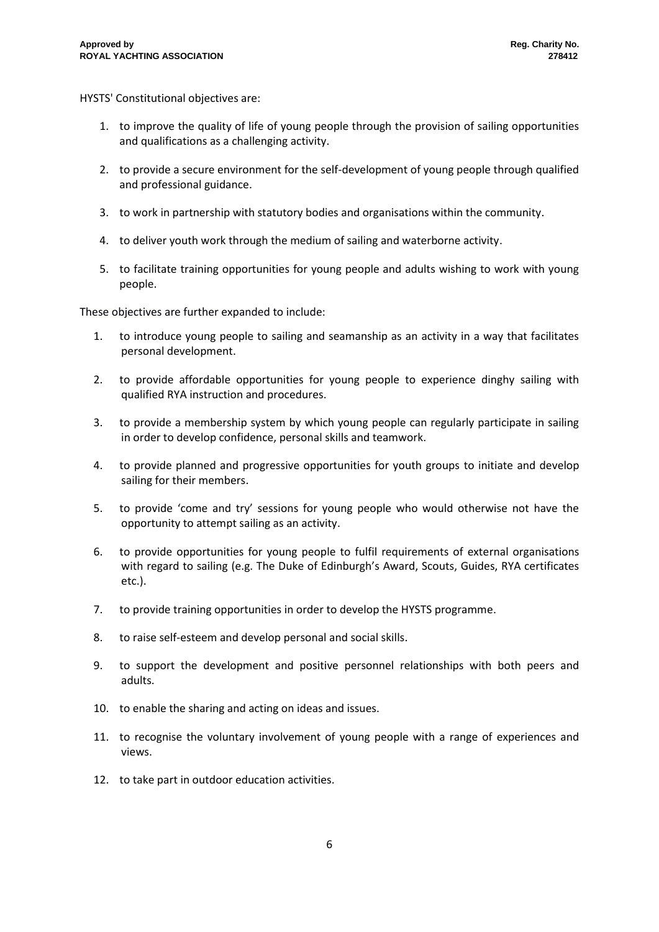HYSTS' Constitutional objectives are:

- 1. to improve the quality of life of young people through the provision of sailing opportunities and qualifications as a challenging activity.
- 2. to provide a secure environment for the self-development of young people through qualified and professional guidance.
- 3. to work in partnership with statutory bodies and organisations within the community.
- 4. to deliver youth work through the medium of sailing and waterborne activity.
- 5. to facilitate training opportunities for young people and adults wishing to work with young people.

These objectives are further expanded to include:

- 1. to introduce young people to sailing and seamanship as an activity in a way that facilitates personal development.
- 2. to provide affordable opportunities for young people to experience dinghy sailing with qualified RYA instruction and procedures.
- 3. to provide a membership system by which young people can regularly participate in sailing in order to develop confidence, personal skills and teamwork.
- 4. to provide planned and progressive opportunities for youth groups to initiate and develop sailing for their members.
- 5. to provide 'come and try' sessions for young people who would otherwise not have the opportunity to attempt sailing as an activity.
- 6. to provide opportunities for young people to fulfil requirements of external organisations with regard to sailing (e.g. The Duke of Edinburgh's Award, Scouts, Guides, RYA certificates etc.).
- 7. to provide training opportunities in order to develop the HYSTS programme.
- 8. to raise self-esteem and develop personal and social skills.
- 9. to support the development and positive personnel relationships with both peers and adults.
- 10. to enable the sharing and acting on ideas and issues.
- 11. to recognise the voluntary involvement of young people with a range of experiences and views.
- 12. to take part in outdoor education activities.